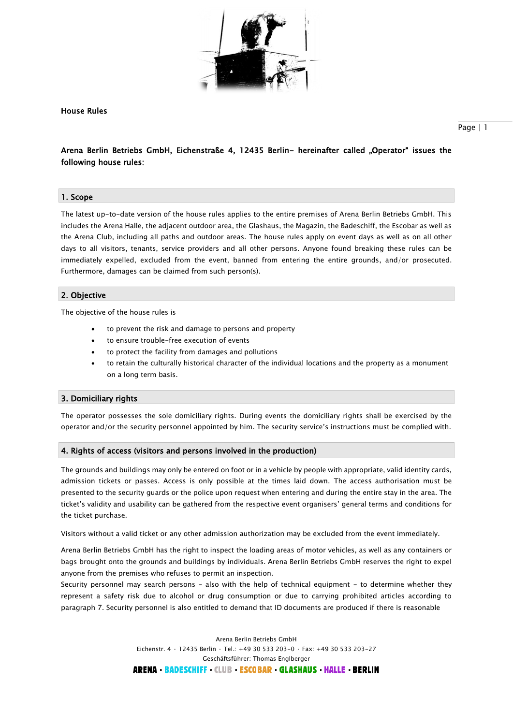

House Rules

# Arena Berlin Betriebs GmbH, Eichenstraße 4, 12435 Berlin- hereinafter called "Operator" issues the following house rules:

# 1. Scope

The latest up-to-date version of the house rules applies to the entire premises of Arena Berlin Betriebs GmbH. This includes the Arena Halle, the adjacent outdoor area, the Glashaus, the Magazin, the Badeschiff, the Escobar as well as the Arena Club, including all paths and outdoor areas. The house rules apply on event days as well as on all other days to all visitors, tenants, service providers and all other persons. Anyone found breaking these rules can be immediately expelled, excluded from the event, banned from entering the entire grounds, and/or prosecuted. Furthermore, damages can be claimed from such person(s).

# 2. Objective

The objective of the house rules is

- to prevent the risk and damage to persons and property
- to ensure trouble-free execution of events
- to protect the facility from damages and pollutions
- to retain the culturally historical character of the individual locations and the property as a monument on a long term basis.

# 3. Domiciliary rights

The operator possesses the sole domiciliary rights. During events the domiciliary rights shall be exercised by the operator and/or the security personnel appointed by him. The security service's instructions must be complied with.

#### 4. Rights of access (visitors and persons involved in the production)

The grounds and buildings may only be entered on foot or in a vehicle by people with appropriate, valid identity cards, admission tickets or passes. Access is only possible at the times laid down. The access authorisation must be presented to the security guards or the police upon request when entering and during the entire stay in the area. The ticket's validity and usability can be gathered from the respective event organisers' general terms and conditions for the ticket purchase.

Visitors without a valid ticket or any other admission authorization may be excluded from the event immediately.

Arena Berlin Betriebs GmbH has the right to inspect the loading areas of motor vehicles, as well as any containers or bags brought onto the grounds and buildings by individuals. Arena Berlin Betriebs GmbH reserves the right to expel anyone from the premises who refuses to permit an inspection.

Security personnel may search persons – also with the help of technical equipment - to determine whether they represent a safety risk due to alcohol or drug consumption or due to carrying prohibited articles according to paragraph 7. Security personnel is also entitled to demand that ID documents are produced if there is reasonable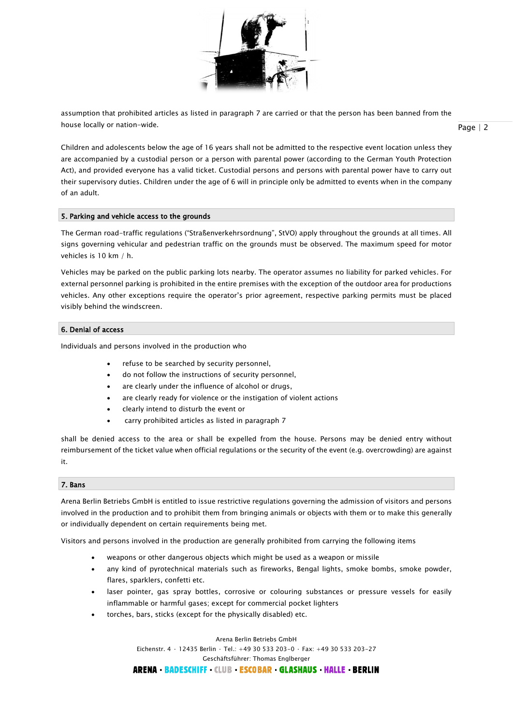

assumption that prohibited articles as listed in paragraph 7 are carried or that the person has been banned from the house locally or nation-wide.

Page | 2

Children and adolescents below the age of 16 years shall not be admitted to the respective event location unless they are accompanied by a custodial person or a person with parental power (according to the German Youth Protection Act), and provided everyone has a valid ticket. Custodial persons and persons with parental power have to carry out their supervisory duties. Children under the age of 6 will in principle only be admitted to events when in the company of an adult.

# 5. Parking and vehicle access to the grounds

The German road-traffic regulations ("Straßenverkehrsordnung", StVO) apply throughout the grounds at all times. All signs governing vehicular and pedestrian traffic on the grounds must be observed. The maximum speed for motor vehicles is 10 km / h.

Vehicles may be parked on the public parking lots nearby. The operator assumes no liability for parked vehicles. For external personnel parking is prohibited in the entire premises with the exception of the outdoor area for productions vehicles. Any other exceptions require the operator's prior agreement, respective parking permits must be placed visibly behind the windscreen.

# 6. Denial of access

Individuals and persons involved in the production who

- refuse to be searched by security personnel,
- do not follow the instructions of security personnel,
- are clearly under the influence of alcohol or drugs,
- are clearly ready for violence or the instigation of violent actions
- clearly intend to disturb the event or
- carry prohibited articles as listed in paragraph 7

shall be denied access to the area or shall be expelled from the house. Persons may be denied entry without reimbursement of the ticket value when official regulations or the security of the event (e.g. overcrowding) are against it.

# 7. Bans

Arena Berlin Betriebs GmbH is entitled to issue restrictive regulations governing the admission of visitors and persons involved in the production and to prohibit them from bringing animals or objects with them or to make this generally or individually dependent on certain requirements being met.

Visitors and persons involved in the production are generally prohibited from carrying the following items

- weapons or other dangerous objects which might be used as a weapon or missile
- any kind of pyrotechnical materials such as fireworks, Bengal lights, smoke bombs, smoke powder, flares, sparklers, confetti etc.
- laser pointer, gas spray bottles, corrosive or colouring substances or pressure vessels for easily inflammable or harmful gases; except for commercial pocket lighters
- torches, bars, sticks (except for the physically disabled) etc.

Arena Berlin Betriebs GmbH Eichenstr. 4 · 12435 Berlin · Tel.: +49 30 533 203-0 · Fax: +49 30 533 203-27 Geschäftsführer: Thomas Englberger **ARENA BADESCHIFF CLUB ESCOBAR GLASHAUS HALLE BERLIN**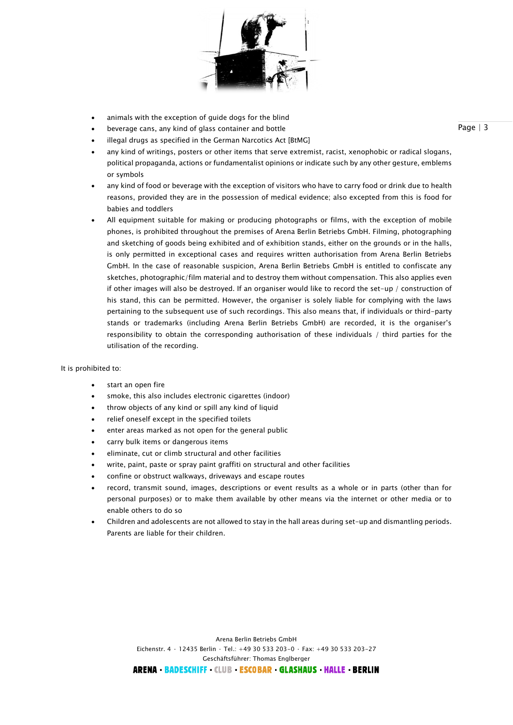

- animals with the exception of guide dogs for the blind
- beverage cans, any kind of glass container and bottle
- illegal drugs as specified in the German Narcotics Act [BtMG]
- any kind of writings, posters or other items that serve extremist, racist, xenophobic or radical slogans, political propaganda, actions or fundamentalist opinions or indicate such by any other gesture, emblems or symbols
- any kind of food or beverage with the exception of visitors who have to carry food or drink due to health reasons, provided they are in the possession of medical evidence; also excepted from this is food for babies and toddlers
- All equipment suitable for making or producing photographs or films, with the exception of mobile phones, is prohibited throughout the premises of Arena Berlin Betriebs GmbH. Filming, photographing and sketching of goods being exhibited and of exhibition stands, either on the grounds or in the halls, is only permitted in exceptional cases and requires written authorisation from Arena Berlin Betriebs GmbH. In the case of reasonable suspicion, Arena Berlin Betriebs GmbH is entitled to confiscate any sketches, photographic/film material and to destroy them without compensation. This also applies even if other images will also be destroyed. If an organiser would like to record the set-up / construction of his stand, this can be permitted. However, the organiser is solely liable for complying with the laws pertaining to the subsequent use of such recordings. This also means that, if individuals or third-party stands or trademarks (including Arena Berlin Betriebs GmbH) are recorded, it is the organiser's responsibility to obtain the corresponding authorisation of these individuals / third parties for the utilisation of the recording.

#### It is prohibited to:

- start an open fire
- smoke, this also includes electronic cigarettes (indoor)
- throw objects of any kind or spill any kind of liquid
- relief oneself except in the specified toilets
- enter areas marked as not open for the general public
- carry bulk items or dangerous items
- eliminate, cut or climb structural and other facilities
- write, paint, paste or spray paint graffiti on structural and other facilities
- confine or obstruct walkways, driveways and escape routes
- record, transmit sound, images, descriptions or event results as a whole or in parts (other than for personal purposes) or to make them available by other means via the internet or other media or to enable others to do so
- Children and adolescents are not allowed to stay in the hall areas during set-up and dismantling periods. Parents are liable for their children.

Page | 3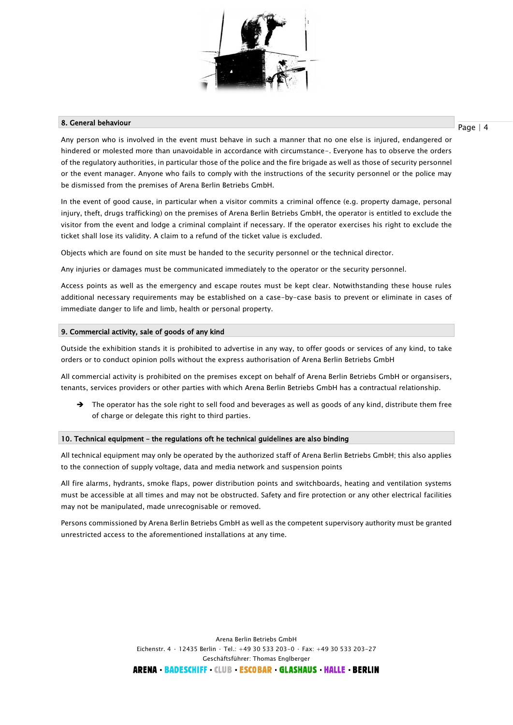

# 8. General behaviour

Page | 4

Any person who is involved in the event must behave in such a manner that no one else is injured, endangered or hindered or molested more than unavoidable in accordance with circumstance-. Everyone has to observe the orders of the regulatory authorities, in particular those of the police and the fire brigade as well as those of security personnel or the event manager. Anyone who fails to comply with the instructions of the security personnel or the police may be dismissed from the premises of Arena Berlin Betriebs GmbH.

In the event of good cause, in particular when a visitor commits a criminal offence (e.g. property damage, personal injury, theft, drugs trafficking) on the premises of Arena Berlin Betriebs GmbH, the operator is entitled to exclude the visitor from the event and lodge a criminal complaint if necessary. If the operator exercises his right to exclude the ticket shall lose its validity. A claim to a refund of the ticket value is excluded.

Objects which are found on site must be handed to the security personnel or the technical director.

Any injuries or damages must be communicated immediately to the operator or the security personnel.

Access points as well as the emergency and escape routes must be kept clear. Notwithstanding these house rules additional necessary requirements may be established on a case-by-case basis to prevent or eliminate in cases of immediate danger to life and limb, health or personal property.

# 9. Commercial activity, sale of goods of any kind

Outside the exhibition stands it is prohibited to advertise in any way, to offer goods or services of any kind, to take orders or to conduct opinion polls without the express authorisation of Arena Berlin Betriebs GmbH

All commercial activity is prohibited on the premises except on behalf of Arena Berlin Betriebs GmbH or organsisers, tenants, services providers or other parties with which Arena Berlin Betriebs GmbH has a contractual relationship.

 $\rightarrow$  The operator has the sole right to sell food and beverages as well as goods of any kind, distribute them free of charge or delegate this right to third parties.

# 10. Technical equipment – the regulations oft he technical guidelines are also binding

All technical equipment may only be operated by the authorized staff of Arena Berlin Betriebs GmbH; this also applies to the connection of supply voltage, data and media network and suspension points

All fire alarms, hydrants, smoke flaps, power distribution points and switchboards, heating and ventilation systems must be accessible at all times and may not be obstructed. Safety and fire protection or any other electrical facilities may not be manipulated, made unrecognisable or removed.

Persons commissioned by Arena Berlin Betriebs GmbH as well as the competent supervisory authority must be granted unrestricted access to the aforementioned installations at any time.

> Arena Berlin Betriebs GmbH Eichenstr. 4 · 12435 Berlin · Tel.: +49 30 533 203-0 · Fax: +49 30 533 203-27 Geschäftsführer: Thomas Englberger ARENA BADESCHIFF CLUB ESCOBAR GLASHAUS HALLE BERLIN